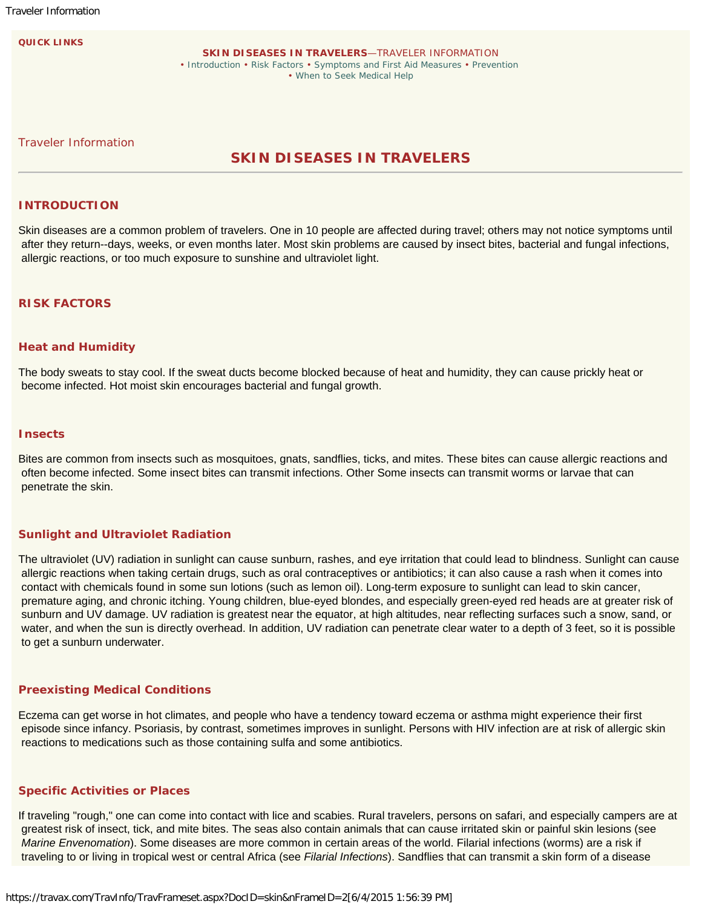**QUICK LINKS**

**SKIN DISEASES IN TRAVELERS**—TRAVELER INFORMATION • [Introduction](https://travax.com/TravInfo/ShowArticleSummary.aspx?DocID=skin#introduction) • [Risk Factors](https://travax.com/TravInfo/ShowArticleSummary.aspx?DocID=skin#risk-factors) • [Symptoms and First Aid Measures](https://travax.com/TravInfo/ShowArticleSummary.aspx?DocID=skin#symptoms-and-first-aid-measures) • [Prevention](https://travax.com/TravInfo/ShowArticleSummary.aspx?DocID=skin#prevention) • [When to Seek Medical Help](https://travax.com/TravInfo/ShowArticleSummary.aspx?DocID=skin#when-to-seek-medical-help)

Traveler Information

# **SKIN DISEASES IN TRAVELERS**

### **INTRODUCTION**

Skin diseases are a common problem of travelers. One in 10 people are affected during travel; others may not notice symptoms until after they return--days, weeks, or even months later. Most skin problems are caused by insect bites, bacterial and fungal infections, allergic reactions, or too much exposure to sunshine and ultraviolet light.

## **RISK FACTORS**

#### **Heat and Humidity**

The body sweats to stay cool. If the sweat ducts become blocked because of heat and humidity, they can cause prickly heat or become infected. Hot moist skin encourages bacterial and fungal growth.

## **Insects**

Bites are common from insects such as mosquitoes, gnats, sandflies, ticks, and mites. These bites can cause allergic reactions and often become infected. Some insect bites can transmit infections. Other Some insects can transmit worms or larvae that can penetrate the skin.

## **Sunlight and Ultraviolet Radiation**

The ultraviolet (UV) radiation in sunlight can cause sunburn, rashes, and eye irritation that could lead to blindness. Sunlight can cause allergic reactions when taking certain drugs, such as oral contraceptives or antibiotics; it can also cause a rash when it comes into contact with chemicals found in some sun lotions (such as lemon oil). Long-term exposure to sunlight can lead to skin cancer, premature aging, and chronic itching. Young children, blue-eyed blondes, and especially green-eyed red heads are at greater risk of sunburn and UV damage. UV radiation is greatest near the equator, at high altitudes, near reflecting surfaces such a snow, sand, or water, and when the sun is directly overhead. In addition, UV radiation can penetrate clear water to a depth of 3 feet, so it is possible to get a sunburn underwater.

#### **Preexisting Medical Conditions**

Eczema can get worse in hot climates, and people who have a tendency toward eczema or asthma might experience their first episode since infancy. Psoriasis, by contrast, sometimes improves in sunlight. Persons with HIV infection are at risk of allergic skin reactions to medications such as those containing sulfa and some antibiotics.

### **Specific Activities or Places**

If traveling "rough," one can come into contact with lice and scabies. Rural travelers, persons on safari, and especially campers are at greatest risk of insect, tick, and mite bites. The seas also contain animals that can cause irritated skin or painful skin lesions (see *Marine Envenomation*). Some diseases are more common in certain areas of the world. Filarial infections (worms) are a risk if traveling to or living in tropical west or central Africa (see *Filarial Infections*). Sandflies that can transmit a skin form of a disease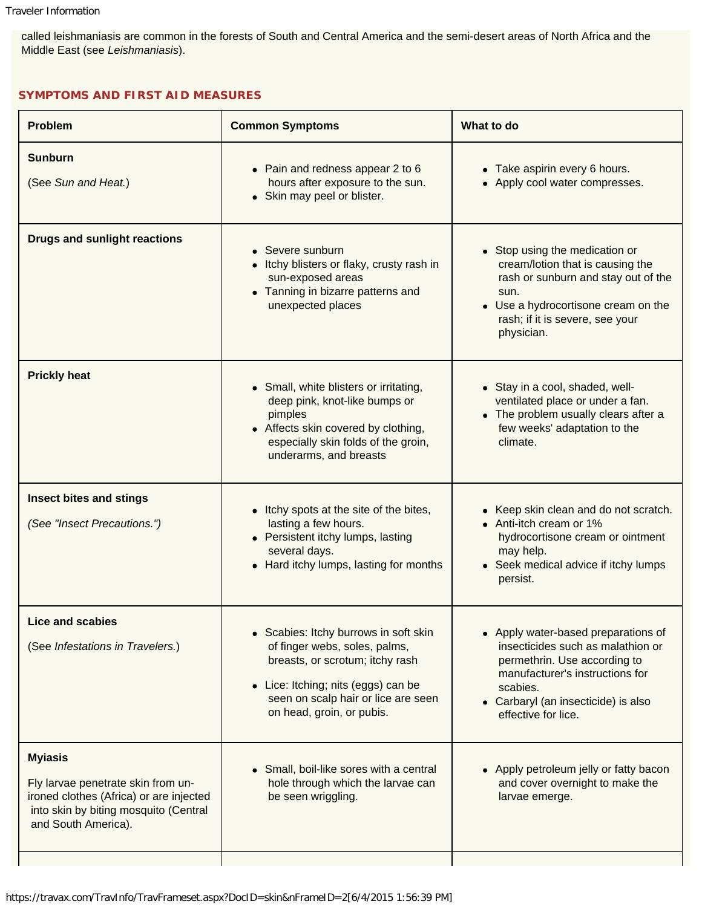called leishmaniasis are common in the forests of South and Central America and the semi-desert areas of North Africa and the Middle East (see *Leishmaniasis*).

## **SYMPTOMS AND FIRST AID MEASURES**

| <b>Problem</b>                                                                                                                                                  | <b>Common Symptoms</b>                                                                                                                                                                                                          | What to do                                                                                                                                                                                                            |
|-----------------------------------------------------------------------------------------------------------------------------------------------------------------|---------------------------------------------------------------------------------------------------------------------------------------------------------------------------------------------------------------------------------|-----------------------------------------------------------------------------------------------------------------------------------------------------------------------------------------------------------------------|
| <b>Sunburn</b><br>(See Sun and Heat.)                                                                                                                           | • Pain and redness appear 2 to 6<br>hours after exposure to the sun.<br>• Skin may peel or blister.                                                                                                                             | • Take aspirin every 6 hours.<br>• Apply cool water compresses.                                                                                                                                                       |
| <b>Drugs and sunlight reactions</b>                                                                                                                             | • Severe sunburn<br>Itchy blisters or flaky, crusty rash in<br>sun-exposed areas<br>• Tanning in bizarre patterns and<br>unexpected places                                                                                      | • Stop using the medication or<br>cream/lotion that is causing the<br>rash or sunburn and stay out of the<br>sun.<br>• Use a hydrocortisone cream on the<br>rash; if it is severe, see your<br>physician.             |
| <b>Prickly heat</b>                                                                                                                                             | • Small, white blisters or irritating,<br>deep pink, knot-like bumps or<br>pimples<br>• Affects skin covered by clothing,<br>especially skin folds of the groin,<br>underarms, and breasts                                      | • Stay in a cool, shaded, well-<br>ventilated place or under a fan.<br>• The problem usually clears after a<br>few weeks' adaptation to the<br>climate.                                                               |
| Insect bites and stings<br>(See "Insect Precautions.")                                                                                                          | • Itchy spots at the site of the bites,<br>lasting a few hours.<br>• Persistent itchy lumps, lasting<br>several days.<br>• Hard itchy lumps, lasting for months                                                                 | • Keep skin clean and do not scratch.<br>• Anti-itch cream or 1%<br>hydrocortisone cream or ointment<br>may help.<br>• Seek medical advice if itchy lumps<br>persist.                                                 |
| <b>Lice and scabies</b><br>(See Infestations in Travelers.)                                                                                                     | • Scabies: Itchy burrows in soft skin<br>of finger webs, soles, palms,<br>breasts, or scrotum; itchy rash<br>Lice: Itching; nits (eggs) can be<br>$\bullet$<br>seen on scalp hair or lice are seen<br>on head, groin, or pubis. | • Apply water-based preparations of<br>insecticides such as malathion or<br>permethrin. Use according to<br>manufacturer's instructions for<br>scabies.<br>• Carbaryl (an insecticide) is also<br>effective for lice. |
| <b>Myiasis</b><br>Fly larvae penetrate skin from un-<br>ironed clothes (Africa) or are injected<br>into skin by biting mosquito (Central<br>and South America). | Small, boil-like sores with a central<br>$\bullet$<br>hole through which the larvae can<br>be seen wriggling.                                                                                                                   | • Apply petroleum jelly or fatty bacon<br>and cover overnight to make the<br>larvae emerge.                                                                                                                           |
|                                                                                                                                                                 |                                                                                                                                                                                                                                 |                                                                                                                                                                                                                       |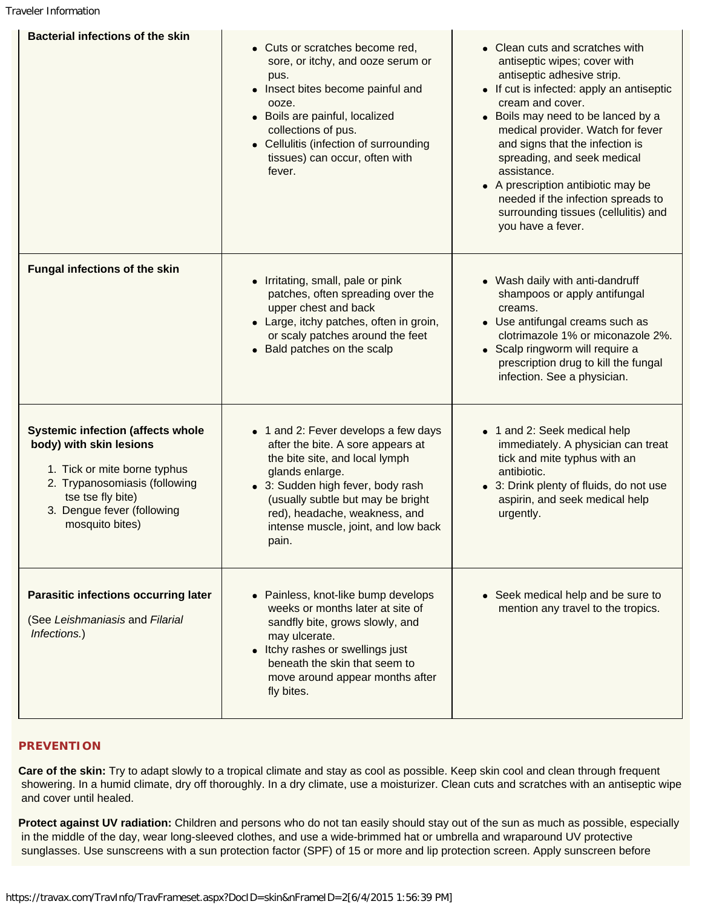Traveler Information

| <b>Bacterial infections of the skin</b>                                                                                                                                                                    | • Cuts or scratches become red,<br>sore, or itchy, and ooze serum or<br>pus.<br>• Insect bites become painful and<br>ooze.<br>• Boils are painful, localized<br>collections of pus.<br>• Cellulitis (infection of surrounding<br>tissues) can occur, often with<br>fever.                 | • Clean cuts and scratches with<br>antiseptic wipes; cover with<br>antiseptic adhesive strip.<br>• If cut is infected: apply an antiseptic<br>cream and cover.<br>• Boils may need to be lanced by a<br>medical provider. Watch for fever<br>and signs that the infection is<br>spreading, and seek medical<br>assistance.<br>• A prescription antibiotic may be<br>needed if the infection spreads to<br>surrounding tissues (cellulitis) and<br>you have a fever. |
|------------------------------------------------------------------------------------------------------------------------------------------------------------------------------------------------------------|-------------------------------------------------------------------------------------------------------------------------------------------------------------------------------------------------------------------------------------------------------------------------------------------|---------------------------------------------------------------------------------------------------------------------------------------------------------------------------------------------------------------------------------------------------------------------------------------------------------------------------------------------------------------------------------------------------------------------------------------------------------------------|
| <b>Fungal infections of the skin</b>                                                                                                                                                                       | • Irritating, small, pale or pink<br>patches, often spreading over the<br>upper chest and back<br>• Large, itchy patches, often in groin,<br>or scaly patches around the feet<br>• Bald patches on the scalp                                                                              | • Wash daily with anti-dandruff<br>shampoos or apply antifungal<br>creams.<br>• Use antifungal creams such as<br>clotrimazole 1% or miconazole 2%.<br>• Scalp ringworm will require a<br>prescription drug to kill the fungal<br>infection. See a physician.                                                                                                                                                                                                        |
| <b>Systemic infection (affects whole</b><br>body) with skin lesions<br>1. Tick or mite borne typhus<br>2. Trypanosomiasis (following<br>tse tse fly bite)<br>3. Dengue fever (following<br>mosquito bites) | • 1 and 2: Fever develops a few days<br>after the bite. A sore appears at<br>the bite site, and local lymph<br>glands enlarge.<br>• 3: Sudden high fever, body rash<br>(usually subtle but may be bright<br>red), headache, weakness, and<br>intense muscle, joint, and low back<br>pain. | • 1 and 2: Seek medical help<br>immediately. A physician can treat<br>tick and mite typhus with an<br>antibiotic.<br>• 3: Drink plenty of fluids, do not use<br>aspirin, and seek medical help<br>urgently.                                                                                                                                                                                                                                                         |
| <b>Parasitic infections occurring later</b><br>(See Leishmaniasis and Filarial<br>Infections.)                                                                                                             | • Painless, knot-like bump develops<br>weeks or months later at site of<br>sandfly bite, grows slowly, and<br>may ulcerate.<br>• Itchy rashes or swellings just<br>beneath the skin that seem to<br>move around appear months after<br>fly bites.                                         | • Seek medical help and be sure to<br>mention any travel to the tropics.                                                                                                                                                                                                                                                                                                                                                                                            |

## **PREVENTION**

**Care of the skin:** Try to adapt slowly to a tropical climate and stay as cool as possible. Keep skin cool and clean through frequent showering. In a humid climate, dry off thoroughly. In a dry climate, use a moisturizer. Clean cuts and scratches with an antiseptic wipe and cover until healed.

**Protect against UV radiation:** Children and persons who do not tan easily should stay out of the sun as much as possible, especially in the middle of the day, wear long-sleeved clothes, and use a wide-brimmed hat or umbrella and wraparound UV protective sunglasses. Use sunscreens with a sun protection factor (SPF) of 15 or more and lip protection screen. Apply sunscreen before